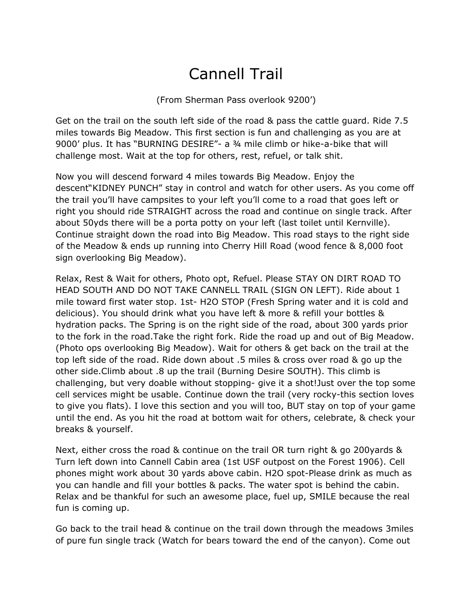## Cannell Trail

(From Sherman Pass overlook 9200')

Get on the trail on the south left side of the road & pass the cattle guard. Ride 7.5 miles towards Big Meadow. This first section is fun and challenging as you are at 9000' plus. It has "BURNING DESIRE"- a ¾ mile climb or hike-a-bike that will challenge most. Wait at the top for others, rest, refuel, or talk shit.

Now you will descend forward 4 miles towards Big Meadow. Enjoy the descent"KIDNEY PUNCH" stay in control and watch for other users. As you come off the trail you'll have campsites to your left you'll come to a road that goes left or right you should ride STRAIGHT across the road and continue on single track. After about 50yds there will be a porta potty on your left (last toilet until Kernville). Continue straight down the road into Big Meadow. This road stays to the right side of the Meadow & ends up running into Cherry Hill Road (wood fence & 8,000 foot sign overlooking Big Meadow).

Relax, Rest & Wait for others, Photo opt, Refuel. Please STAY ON DIRT ROAD TO HEAD SOUTH AND DO NOT TAKE CANNELL TRAIL (SIGN ON LEFT). Ride about 1 mile toward first water stop. 1st- H2O STOP (Fresh Spring water and it is cold and delicious). You should drink what you have left & more & refill your bottles & hydration packs. The Spring is on the right side of the road, about 300 yards prior to the fork in the road.Take the right fork. Ride the road up and out of Big Meadow. (Photo ops overlooking Big Meadow). Wait for others & get back on the trail at the top left side of the road. Ride down about .5 miles & cross over road & go up the other side.Climb about .8 up the trail (Burning Desire SOUTH). This climb is challenging, but very doable without stopping- give it a shot!Just over the top some cell services might be usable. Continue down the trail (very rocky-this section loves to give you flats). I love this section and you will too, BUT stay on top of your game until the end. As you hit the road at bottom wait for others, celebrate, & check your breaks & yourself.

Next, either cross the road & continue on the trail OR turn right & go 200yards & Turn left down into Cannell Cabin area (1st USF outpost on the Forest 1906). Cell phones might work about 30 yards above cabin. H2O spot-Please drink as much as you can handle and fill your bottles & packs. The water spot is behind the cabin. Relax and be thankful for such an awesome place, fuel up, SMILE because the real fun is coming up.

Go back to the trail head & continue on the trail down through the meadows 3miles of pure fun single track (Watch for bears toward the end of the canyon). Come out